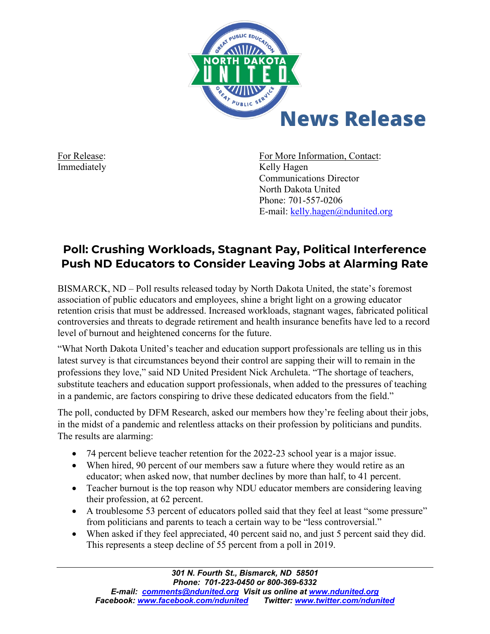

For Release: For More Information, Contact: Immediately **Kelly Hagen** Communications Director North Dakota United Phone: 701-557-0206 E-mail: [kelly.hagen@ndunited.org](mailto:kelly.hagen@ndunited.org)

## **Poll: Crushing Workloads, Stagnant Pay, Political Interference Push ND Educators to Consider Leaving Jobs at Alarming Rate**

BISMARCK, ND – Poll results released today by North Dakota United, the state's foremost association of public educators and employees, shine a bright light on a growing educator retention crisis that must be addressed. Increased workloads, stagnant wages, fabricated political controversies and threats to degrade retirement and health insurance benefits have led to a record level of burnout and heightened concerns for the future.

"What North Dakota United's teacher and education support professionals are telling us in this latest survey is that circumstances beyond their control are sapping their will to remain in the professions they love," said ND United President Nick Archuleta. "The shortage of teachers, substitute teachers and education support professionals, when added to the pressures of teaching in a pandemic, are factors conspiring to drive these dedicated educators from the field."

The poll, conducted by DFM Research, asked our members how they're feeling about their jobs, in the midst of a pandemic and relentless attacks on their profession by politicians and pundits. The results are alarming:

- 74 percent believe teacher retention for the 2022-23 school year is a major issue.
- When hired, 90 percent of our members saw a future where they would retire as an educator; when asked now, that number declines by more than half, to 41 percent.
- Teacher burnout is the top reason why NDU educator members are considering leaving their profession, at 62 percent.
- A troublesome 53 percent of educators polled said that they feel at least "some pressure" from politicians and parents to teach a certain way to be "less controversial."
- When asked if they feel appreciated, 40 percent said no, and just 5 percent said they did. This represents a steep decline of 55 percent from a poll in 2019.